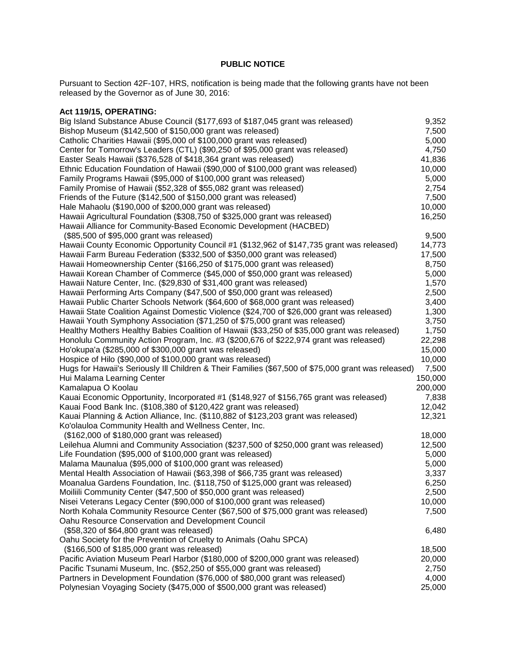## **PUBLIC NOTICE**

Pursuant to Section 42F-107, HRS, notification is being made that the following grants have not been released by the Governor as of June 30, 2016:

| Act 119/15, OPERATING:                                                                                                                                 |         |
|--------------------------------------------------------------------------------------------------------------------------------------------------------|---------|
| Big Island Substance Abuse Council (\$177,693 of \$187,045 grant was released)                                                                         | 9,352   |
| Bishop Museum (\$142,500 of \$150,000 grant was released)                                                                                              | 7,500   |
| Catholic Charities Hawaii (\$95,000 of \$100,000 grant was released)                                                                                   | 5,000   |
| Center for Tomorrow's Leaders (CTL) (\$90,250 of \$95,000 grant was released)                                                                          | 4,750   |
| Easter Seals Hawaii (\$376,528 of \$418,364 grant was released)                                                                                        | 41,836  |
| Ethnic Education Foundation of Hawaii (\$90,000 of \$100,000 grant was released)                                                                       | 10,000  |
| Family Programs Hawaii (\$95,000 of \$100,000 grant was released)                                                                                      | 5,000   |
| Family Promise of Hawaii (\$52,328 of \$55,082 grant was released)                                                                                     | 2,754   |
| Friends of the Future (\$142,500 of \$150,000 grant was released)                                                                                      | 7,500   |
| Hale Mahaolu (\$190,000 of \$200,000 grant was released)                                                                                               | 10,000  |
| Hawaii Agricultural Foundation (\$308,750 of \$325,000 grant was released)                                                                             | 16,250  |
| Hawaii Alliance for Community-Based Economic Development (HACBED)                                                                                      |         |
| (\$85,500 of \$95,000 grant was released)                                                                                                              | 9,500   |
| Hawaii County Economic Opportunity Council #1 (\$132,962 of \$147,735 grant was released)                                                              | 14,773  |
| Hawaii Farm Bureau Federation (\$332,500 of \$350,000 grant was released)                                                                              | 17,500  |
| Hawaii Homeownership Center (\$166,250 of \$175,000 grant was released)                                                                                | 8,750   |
| Hawaii Korean Chamber of Commerce (\$45,000 of \$50,000 grant was released)                                                                            | 5,000   |
| Hawaii Nature Center, Inc. (\$29,830 of \$31,400 grant was released)                                                                                   | 1,570   |
| Hawaii Performing Arts Company (\$47,500 of \$50,000 grant was released)                                                                               | 2,500   |
| Hawaii Public Charter Schools Network (\$64,600 of \$68,000 grant was released)                                                                        | 3,400   |
| Hawaii State Coalition Against Domestic Violence (\$24,700 of \$26,000 grant was released)                                                             | 1,300   |
| Hawaii Youth Symphony Association (\$71,250 of \$75,000 grant was released)                                                                            | 3,750   |
| Healthy Mothers Healthy Babies Coalition of Hawaii (\$33,250 of \$35,000 grant was released)                                                           | 1,750   |
| Honolulu Community Action Program, Inc. #3 (\$200,676 of \$222,974 grant was released)                                                                 | 22,298  |
| Ho'okupa'a (\$285,000 of \$300,000 grant was released)                                                                                                 | 15,000  |
| Hospice of Hilo (\$90,000 of \$100,000 grant was released)                                                                                             | 10,000  |
| Hugs for Hawaii's Seriously III Children & Their Families (\$67,500 of \$75,000 grant was released)                                                    | 7,500   |
| Hui Malama Learning Center                                                                                                                             | 150,000 |
| Kamalapua O Koolau                                                                                                                                     | 200,000 |
| Kauai Economic Opportunity, Incorporated #1 (\$148,927 of \$156,765 grant was released)                                                                | 7,838   |
| Kauai Food Bank Inc. (\$108,380 of \$120,422 grant was released)                                                                                       | 12,042  |
| Kauai Planning & Action Alliance, Inc. (\$110,882 of \$123,203 grant was released)                                                                     | 12,321  |
| Ko'olauloa Community Health and Wellness Center, Inc.                                                                                                  |         |
| (\$162,000 of \$180,000 grant was released)                                                                                                            | 18,000  |
| Leilehua Alumni and Community Association (\$237,500 of \$250,000 grant was released)                                                                  | 12,500  |
| Life Foundation (\$95,000 of \$100,000 grant was released)                                                                                             | 5,000   |
| Malama Maunalua (\$95,000 of \$100,000 grant was released)                                                                                             | 5,000   |
| Mental Health Association of Hawaii (\$63,398 of \$66,735 grant was released)                                                                          | 3,337   |
| Moanalua Gardens Foundation, Inc. (\$118,750 of \$125,000 grant was released)                                                                          | 6,250   |
| Moiliili Community Center (\$47,500 of \$50,000 grant was released)                                                                                    | 2,500   |
| Nisei Veterans Legacy Center (\$90,000 of \$100,000 grant was released)                                                                                | 10,000  |
| North Kohala Community Resource Center (\$67,500 of \$75,000 grant was released)                                                                       | 7,500   |
| Oahu Resource Conservation and Development Council                                                                                                     |         |
| (\$58,320 of \$64,800 grant was released)                                                                                                              | 6,480   |
| Oahu Society for the Prevention of Cruelty to Animals (Oahu SPCA)                                                                                      |         |
| (\$166,500 of \$185,000 grant was released)                                                                                                            | 18,500  |
| Pacific Aviation Museum Pearl Harbor (\$180,000 of \$200,000 grant was released)                                                                       | 20,000  |
| Pacific Tsunami Museum, Inc. (\$52,250 of \$55,000 grant was released)<br>Partners in Development Foundation (\$76,000 of \$80,000 grant was released) | 2,750   |
|                                                                                                                                                        | 4,000   |
| Polynesian Voyaging Society (\$475,000 of \$500,000 grant was released)                                                                                | 25,000  |